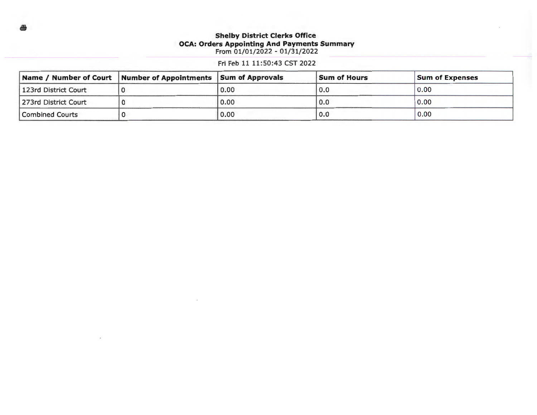## **Shelby District Clerks Office OCA: Orders Appointing And Payments Summary**  From 01/01/2022 - 01/31/2022

Fri Feb 11 11:50:43 CST 2022

|                      | Name / Number of Court   Number of Appointments   Sum of Approvals |      | <b>Sum of Hours</b> | <b>Sum of Expenses</b> |
|----------------------|--------------------------------------------------------------------|------|---------------------|------------------------|
| 123rd District Court |                                                                    | 0.00 | 0.0                 | 0.00                   |
| 273rd District Court |                                                                    | 0.00 | 0.0                 | 0.00                   |
| Combined Courts      |                                                                    | 0.00 | 0.0                 | 0.00                   |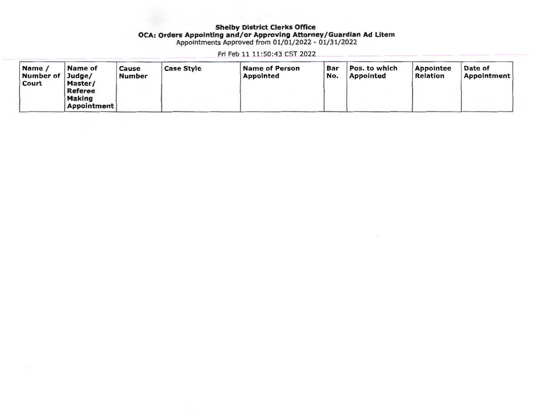### Shelby District Clerks Office OCA: Orders Appointing and/or Approving Attorney/Guardian Ad Litem Appointments Approved from 01/01/2022 - 01/31/2022

Fri Feb 11 11:50:43 CST 2022

| Name<br>Number of Judge/<br>Court | Name of<br>Master/                             | Cause<br>Number | <b>Case Style</b> | Name of Person<br><b>Appointed</b> | Bar<br>No. | Pos. to which<br><b>Appointed</b> | <b>Appointee</b><br>Relation | Date of<br>Appointment |
|-----------------------------------|------------------------------------------------|-----------------|-------------------|------------------------------------|------------|-----------------------------------|------------------------------|------------------------|
|                                   | Referee<br><b>Making</b><br><b>Appointment</b> |                 |                   |                                    |            |                                   |                              |                        |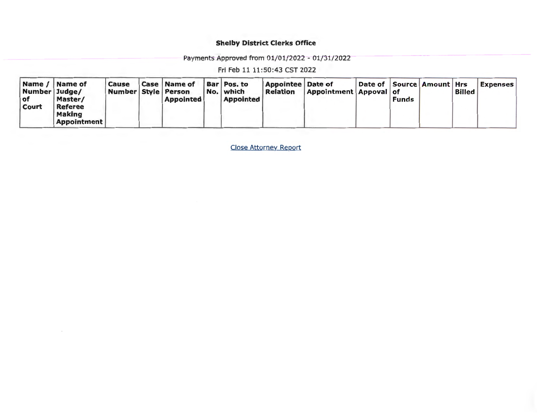# Shelby District Clerks Office

Payments Approved from 01/01/2022 - 01/31/2022

Fri Feb 11 11:50:43 CST 2022

| Name /<br>Number Judge/<br>l of<br><b>Court</b> | Name of<br>Master/<br><b>Referee</b><br><b>Making</b><br><b>Appointment</b> | Cause<br>Number Style Person |  | <b>Case   Name of</b><br><b>Appointed</b> |  | Bar Pos. to<br>No. which<br><b>Appointed</b> | <b>Appointee Date of</b><br>Relation | <b>Appointment Appoval of</b> | Date of   Source   Amount   Hrs | Funds |  | <b>Billed</b> | <b>Expenses</b> |
|-------------------------------------------------|-----------------------------------------------------------------------------|------------------------------|--|-------------------------------------------|--|----------------------------------------------|--------------------------------------|-------------------------------|---------------------------------|-------|--|---------------|-----------------|
|-------------------------------------------------|-----------------------------------------------------------------------------|------------------------------|--|-------------------------------------------|--|----------------------------------------------|--------------------------------------|-------------------------------|---------------------------------|-------|--|---------------|-----------------|

Close Attorney Report